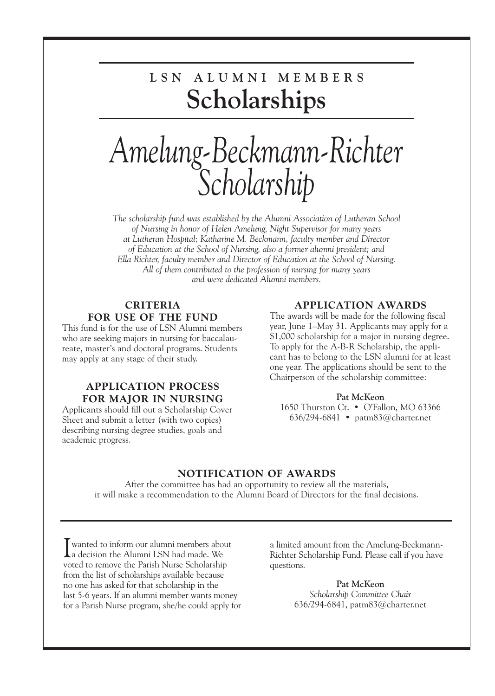### **L S N A L U M N I M E M B E R S Scholarships**

## *Amelung-Beckmann-Richter Scholarship*

*The scholarship fund was established by the Alumni Association of Lutheran School of Nursing in honor of Helen Amelung, Night Supervisor for many years at Lutheran Hospital; Katharine M. Beckmann, faculty member and Director of Education at the School of Nursing, also a former alumni president; and Ella Richter, faculty member and Director of Education at the School of Nursing. All of them contributed to the profession of nursing for many years and were dedicated Alumni members.*

#### **CRITERIA FOR USE OF THE FUND**

This fund is for the use of LSN Alumni members who are seeking majors in nursing for baccalaureate, master's and doctoral programs. Students may apply at any stage of their study.

#### **APPLICATION PROCESS FOR MAJOR IN NURSING**

Applicants should fill out a Scholarship Cover Sheet and submit a letter (with two copies) describing nursing degree studies, goals and academic progress.

#### **APPLICATION AWARDS**

The awards will be made for the following fiscal year, June 1–May 31. Applicants may apply for a \$1,000 scholarship for a major in nursing degree. To apply for the A-B-R Scholarship, the applicant has to belong to the LSN alumni for at least one year. The applications should be sent to the Chairperson of the scholarship committee:

#### **Pat McKeon**

1650 Thurston Ct. • O'Fallon, MO 63366 636/294-6841 • patm83@charter.net

#### **NOTIFICATION OF AWARDS**

After the committee has had an opportunity to review all the materials, it will make a recommendation to the Alumni Board of Directors for the final decisions.

I wanted to inform our alumni members about<br>a decision the Alumni LSN had made. We a decision the Alumni LSN had made. We voted to remove the Parish Nurse Scholarship from the list of scholarships available because no one has asked for that scholarship in the last 5-6 years. If an alumni member wants money for a Parish Nurse program, she/he could apply for

a limited amount from the Amelung-Beckmann-Richter Scholarship Fund. Please call if you have questions.

> **Pat McKeon** *Scholarship Committee Chair* 636/294-6841, patm83@charter.net